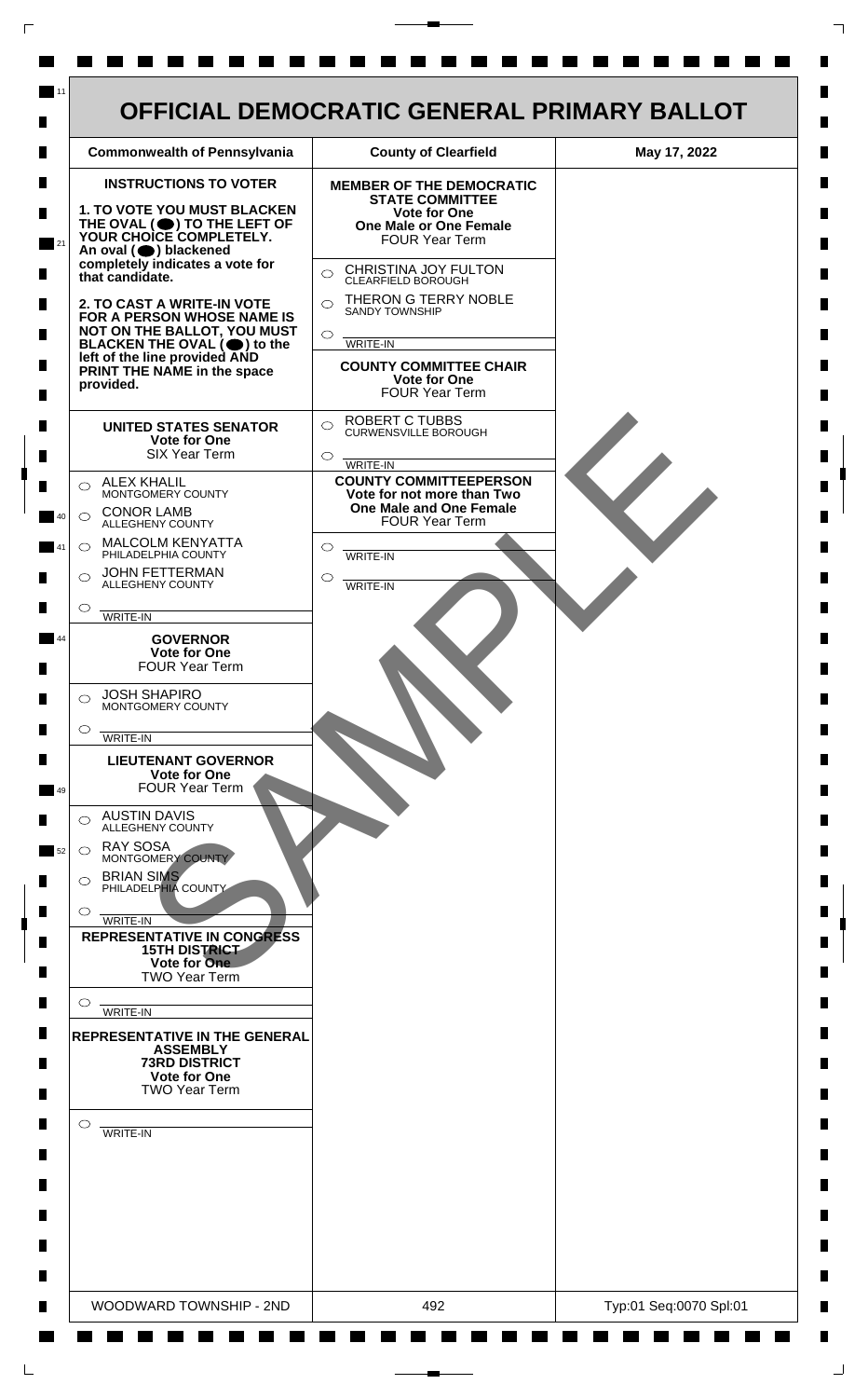

 $\mathsf{L}$